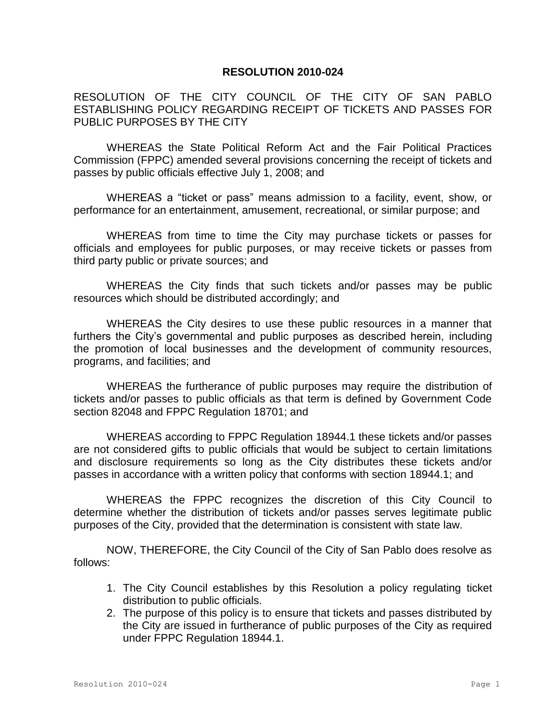## **RESOLUTION 2010-024**

RESOLUTION OF THE CITY COUNCIL OF THE CITY OF SAN PABLO ESTABLISHING POLICY REGARDING RECEIPT OF TICKETS AND PASSES FOR PUBLIC PURPOSES BY THE CITY

WHEREAS the State Political Reform Act and the Fair Political Practices Commission (FPPC) amended several provisions concerning the receipt of tickets and passes by public officials effective July 1, 2008; and

WHEREAS a "ticket or pass" means admission to a facility, event, show, or performance for an entertainment, amusement, recreational, or similar purpose; and

WHEREAS from time to time the City may purchase tickets or passes for officials and employees for public purposes, or may receive tickets or passes from third party public or private sources; and

WHEREAS the City finds that such tickets and/or passes may be public resources which should be distributed accordingly; and

WHEREAS the City desires to use these public resources in a manner that furthers the City's governmental and public purposes as described herein, including the promotion of local businesses and the development of community resources, programs, and facilities; and

WHEREAS the furtherance of public purposes may require the distribution of tickets and/or passes to public officials as that term is defined by Government Code section 82048 and FPPC Regulation 18701; and

WHEREAS according to FPPC Regulation 18944.1 these tickets and/or passes are not considered gifts to public officials that would be subject to certain limitations and disclosure requirements so long as the City distributes these tickets and/or passes in accordance with a written policy that conforms with section 18944.1; and

WHEREAS the FPPC recognizes the discretion of this City Council to determine whether the distribution of tickets and/or passes serves legitimate public purposes of the City, provided that the determination is consistent with state law.

NOW, THEREFORE, the City Council of the City of San Pablo does resolve as follows:

- 1. The City Council establishes by this Resolution a policy regulating ticket distribution to public officials.
- 2. The purpose of this policy is to ensure that tickets and passes distributed by the City are issued in furtherance of public purposes of the City as required under FPPC Regulation 18944.1.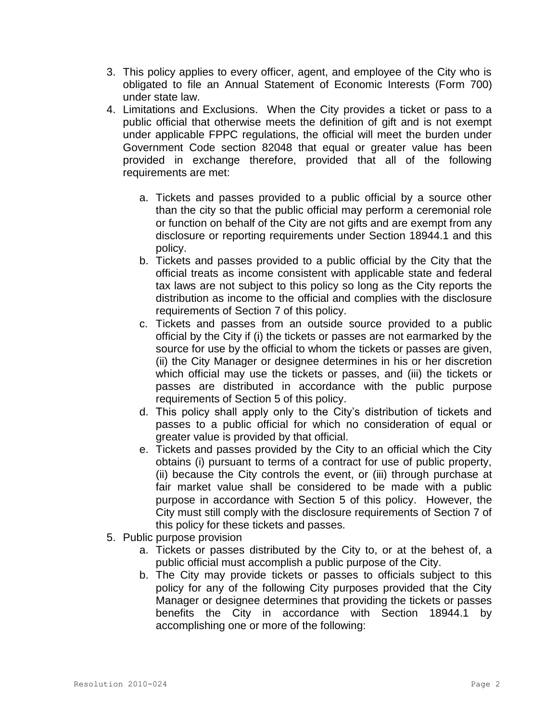- 3. This policy applies to every officer, agent, and employee of the City who is obligated to file an Annual Statement of Economic Interests (Form 700) under state law.
- 4. Limitations and Exclusions. When the City provides a ticket or pass to a public official that otherwise meets the definition of gift and is not exempt under applicable FPPC regulations, the official will meet the burden under Government Code section 82048 that equal or greater value has been provided in exchange therefore, provided that all of the following requirements are met:
	- a. Tickets and passes provided to a public official by a source other than the city so that the public official may perform a ceremonial role or function on behalf of the City are not gifts and are exempt from any disclosure or reporting requirements under Section 18944.1 and this policy.
	- b. Tickets and passes provided to a public official by the City that the official treats as income consistent with applicable state and federal tax laws are not subject to this policy so long as the City reports the distribution as income to the official and complies with the disclosure requirements of Section 7 of this policy.
	- c. Tickets and passes from an outside source provided to a public official by the City if (i) the tickets or passes are not earmarked by the source for use by the official to whom the tickets or passes are given, (ii) the City Manager or designee determines in his or her discretion which official may use the tickets or passes, and (iii) the tickets or passes are distributed in accordance with the public purpose requirements of Section 5 of this policy.
	- d. This policy shall apply only to the City's distribution of tickets and passes to a public official for which no consideration of equal or greater value is provided by that official.
	- e. Tickets and passes provided by the City to an official which the City obtains (i) pursuant to terms of a contract for use of public property, (ii) because the City controls the event, or (iii) through purchase at fair market value shall be considered to be made with a public purpose in accordance with Section 5 of this policy. However, the City must still comply with the disclosure requirements of Section 7 of this policy for these tickets and passes.
- 5. Public purpose provision
	- a. Tickets or passes distributed by the City to, or at the behest of, a public official must accomplish a public purpose of the City.
	- b. The City may provide tickets or passes to officials subject to this policy for any of the following City purposes provided that the City Manager or designee determines that providing the tickets or passes benefits the City in accordance with Section 18944.1 by accomplishing one or more of the following: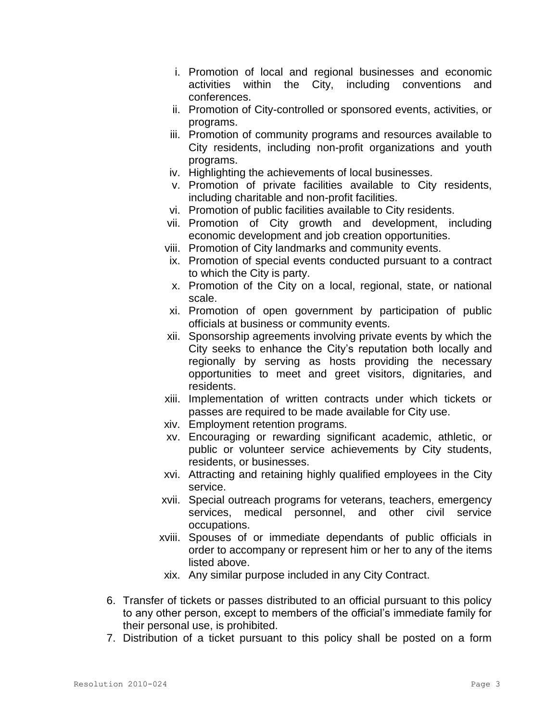- i. Promotion of local and regional businesses and economic activities within the City, including conventions and conferences.
- ii. Promotion of City-controlled or sponsored events, activities, or programs.
- iii. Promotion of community programs and resources available to City residents, including non-profit organizations and youth programs.
- iv. Highlighting the achievements of local businesses.
- v. Promotion of private facilities available to City residents, including charitable and non-profit facilities.
- vi. Promotion of public facilities available to City residents.
- vii. Promotion of City growth and development, including economic development and job creation opportunities.
- viii. Promotion of City landmarks and community events.
- ix. Promotion of special events conducted pursuant to a contract to which the City is party.
- x. Promotion of the City on a local, regional, state, or national scale.
- xi. Promotion of open government by participation of public officials at business or community events.
- xii. Sponsorship agreements involving private events by which the City seeks to enhance the City's reputation both locally and regionally by serving as hosts providing the necessary opportunities to meet and greet visitors, dignitaries, and residents.
- xiii. Implementation of written contracts under which tickets or passes are required to be made available for City use.
- xiv. Employment retention programs.
- xv. Encouraging or rewarding significant academic, athletic, or public or volunteer service achievements by City students, residents, or businesses.
- xvi. Attracting and retaining highly qualified employees in the City service.
- xvii. Special outreach programs for veterans, teachers, emergency services, medical personnel, and other civil service occupations.
- xviii. Spouses of or immediate dependants of public officials in order to accompany or represent him or her to any of the items listed above.
- xix. Any similar purpose included in any City Contract.
- 6. Transfer of tickets or passes distributed to an official pursuant to this policy to any other person, except to members of the official's immediate family for their personal use, is prohibited.
- 7. Distribution of a ticket pursuant to this policy shall be posted on a form